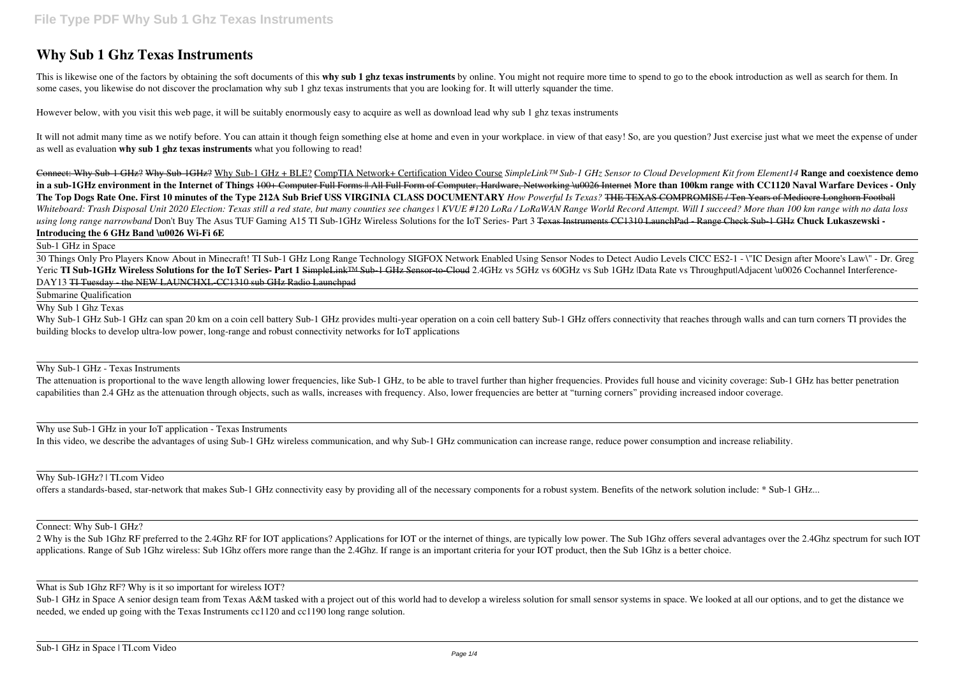## **Why Sub 1 Ghz Texas Instruments**

This is likewise one of the factors by obtaining the soft documents of this why sub 1 ghz texas instruments by online. You might not require more time to spend to go to the ebook introduction as well as search for them. In some cases, you likewise do not discover the proclamation why sub 1 ghz texas instruments that you are looking for. It will utterly squander the time.

It will not admit many time as we notify before. You can attain it though feign something else at home and even in your workplace, in view of that easy! So, are you question? Just exercise just what we meet the expense of as well as evaluation **why sub 1 ghz texas instruments** what you following to read!

However below, with you visit this web page, it will be suitably enormously easy to acquire as well as download lead why sub 1 ghz texas instruments

Why Sub-1 GHz Sub-1 GHz can span 20 km on a coin cell battery Sub-1 GHz provides multi-year operation on a coin cell battery Sub-1 GHz offers connectivity that reaches through walls and can turn corners TI provides the building blocks to develop ultra-low power, long-range and robust connectivity networks for IoT applications

Connect: Why Sub-1 GHz? Why Sub-1GHz? Why Sub-1 GHz + BLE? CompTIA Network+ Certification Video Course *SimpleLink™ Sub-1 GHz Sensor to Cloud Development Kit from Element14* **Range and coexistence demo** in a sub-1GHz environment in the Internet of Things 100+ Computer Full Forms # All Full Form of Computer, Hardware, Networking \u0026 Internet More than 100km range with CC1120 Naval Warfare Devices - Only **The Top Dogs Rate One. First 10 minutes of the Type 212A Sub Brief USS VIRGINIA CLASS DOCUMENTARY** *How Powerful Is Texas?* THE TEXAS COMPROMISE / Ten Years of Mediocre Longhorn Football Whiteboard: Trash Disposal Unit 2020 Election: Texas still a red state, but many counties see changes | KVUE #120 LoRa / LoRaWAN Range World Record Attempt. Will I succeed? More than 100 km range with no data loss *using long range narrowband* Don't Buy The Asus TUF Gaming A15 TI Sub-1GHz Wireless Solutions for the IoT Series- Part 3 Texas Instruments CC1310 LaunchPad - Range Check Sub-1 GHz **Chuck Lukaszewski - Introducing the 6 GHz Band \u0026 Wi-Fi 6E**

The attenuation is proportional to the wave length allowing lower frequencies, like Sub-1 GHz, to be able to travel further than higher frequencies. Provides full house and vicinity coverage: Sub-1 GHz has better penetrati capabilities than 2.4 GHz as the attenuation through objects, such as walls, increases with frequency. Also, lower frequencies are better at "turning corners" providing increased indoor coverage.

Sub-1 GHz in Space

30 Things Only Pro Players Know About in Minecraft! TI Sub-1 GHz Long Range Technology SIGFOX Network Enabled Using Sensor Nodes to Detect Audio Levels CICC ES2-1 - \"IC Design after Moore's Law\" - Dr. Greg Yeric **TI Sub-1GHz Wireless Solutions for the IoT Series- Part 1** SimpleLink™ Sub-1 GHz Sensor-to-Cloud 2.4GHz vs 5GHz vs 60GHz vs Sub 1GHz |Data Rate vs Throughput|Adjacent \u0026 Cochannel Interference-DAY13 TI Tuesday - the NEW LAUNCHXL-CC1310 sub GHz Radio Launchpad

Sub-1 GHz in Space A senior design team from Texas A&M tasked with a project out of this world had to develop a wireless solution for small sensor systems in space. We looked at all our options, and to get the distance we needed, we ended up going with the Texas Instruments cc1120 and cc1190 long range solution.

Submarine Qualification

Why Sub 1 Ghz Texas

Why Sub-1 GHz - Texas Instruments

Why use Sub-1 GHz in your IoT application - Texas Instruments

In this video, we describe the advantages of using Sub-1 GHz wireless communication, and why Sub-1 GHz communication can increase range, reduce power consumption and increase reliability.

Why Sub-1GHz? | TI.com Video

offers a standards-based, star-network that makes Sub-1 GHz connectivity easy by providing all of the necessary components for a robust system. Benefits of the network solution include: \* Sub-1 GHz...

Connect: Why Sub-1 GHz?

2 Why is the Sub 1Ghz RF preferred to the 2.4Ghz RF for IOT applications? Applications for IOT or the internet of things, are typically low power. The Sub 1Ghz offers several advantages over the 2.4Ghz spectrum for such IOT applications. Range of Sub 1Ghz wireless: Sub 1Ghz offers more range than the 2.4Ghz. If range is an important criteria for your IOT product, then the Sub 1Ghz is a better choice.

What is Sub 1Ghz RF? Why is it so important for wireless IOT?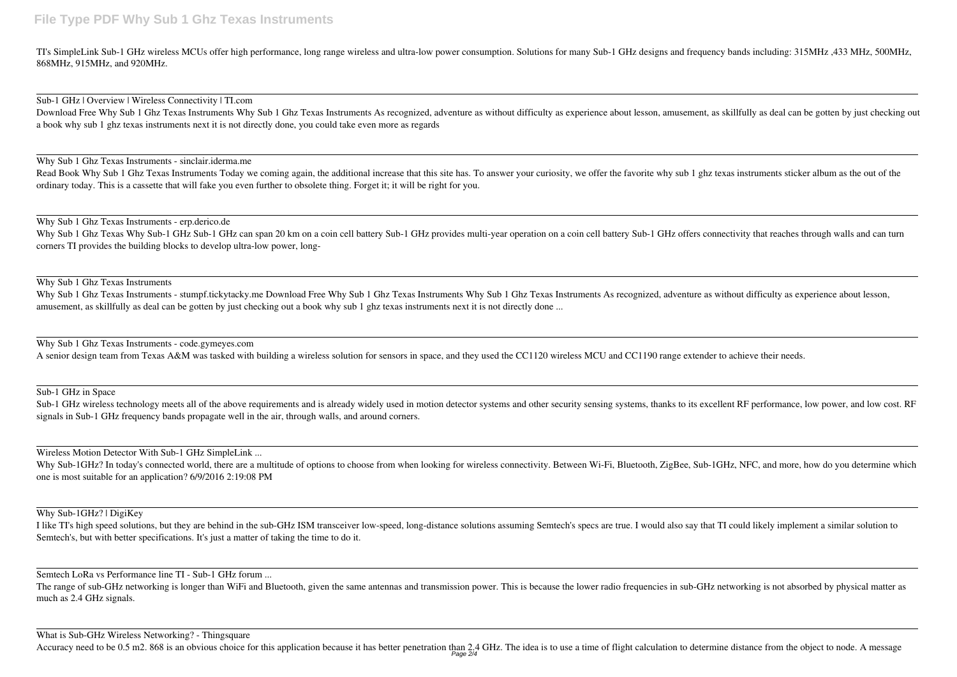TI's SimpleLink Sub-1 GHz wireless MCUs offer high performance, long range wireless and ultra-low power consumption. Solutions for many Sub-1 GHz designs and frequency bands including: 315MHz ,433 MHz, 500MHz, 868MHz, 915MHz, and 920MHz.

Sub-1 GHz | Overview | Wireless Connectivity | TI.com

Download Free Why Sub 1 Ghz Texas Instruments Why Sub 1 Ghz Texas Instruments As recognized, adventure as without difficulty as experience about lesson, amusement, as skillfully as deal can be gotten by just checking out a book why sub 1 ghz texas instruments next it is not directly done, you could take even more as regards

Read Book Why Sub 1 Ghz Texas Instruments Today we coming again, the additional increase that this site has. To answer your curiosity, we offer the favorite why sub 1 ghz texas instruments sticker album as the out of the ordinary today. This is a cassette that will fake you even further to obsolete thing. Forget it; it will be right for you.

Why Sub 1 Ghz Texas Instruments - sinclair.iderma.me

Why Sub 1 Ghz Texas Why Sub-1 GHz Sub-1 GHz can span 20 km on a coin cell battery Sub-1 GHz provides multi-year operation on a coin cell battery Sub-1 GHz offers connectivity that reaches through walls and can turn corners TI provides the building blocks to develop ultra-low power, long-

Why Sub 1 Ghz Texas Instruments - stumpf.tickytacky.me Download Free Why Sub 1 Ghz Texas Instruments Instruments As recognized, adventure as without difficulty as experience about lesson, amusement, as skillfully as deal can be gotten by just checking out a book why sub 1 ghz texas instruments next it is not directly done ...

Why Sub 1 Ghz Texas Instruments - erp.derico.de

Sub-1 GHz wireless technology meets all of the above requirements and is already widely used in motion detector systems and other security sensing systems, thanks to its excellent RF performance, low power, and low cost. R signals in Sub-1 GHz frequency bands propagate well in the air, through walls, and around corners.

Why Sub-1GHz? In today's connected world, there are a multitude of options to choose from when looking for wireless connectivity. Between Wi-Fi, Bluetooth, ZigBee, Sub-1GHz, NFC, and more, how do you determine which one is most suitable for an application? 6/9/2016 2:19:08 PM

Why Sub 1 Ghz Texas Instruments

The range of sub-GHz networking is longer than WiFi and Bluetooth, given the same antennas and transmission power. This is because the lower radio frequencies in sub-GHz networking is not absorbed by physical matter as much as 2.4 GHz signals.

Why Sub 1 Ghz Texas Instruments - code.gymeyes.com

Accuracy need to be 0.5 m2. 868 is an obvious choice for this application because it has better penetration than 2.4 GHz. The idea is to use a time of flight calculation to determine distance from the object to node. A mes Page 2/4

A senior design team from Texas A&M was tasked with building a wireless solution for sensors in space, and they used the CC1120 wireless MCU and CC1190 range extender to achieve their needs.

Sub-1 GHz in Space

Wireless Motion Detector With Sub-1 GHz SimpleLink ...

Why Sub-1GHz? | DigiKey

I like TI's high speed solutions, but they are behind in the sub-GHz ISM transceiver low-speed, long-distance solutions assuming Semtech's specs are true. I would also say that TI could likely implement a similar solution to Semtech's, but with better specifications. It's just a matter of taking the time to do it.

Semtech LoRa vs Performance line TI - Sub-1 GHz forum ...

What is Sub-GHz Wireless Networking? - Thingsquare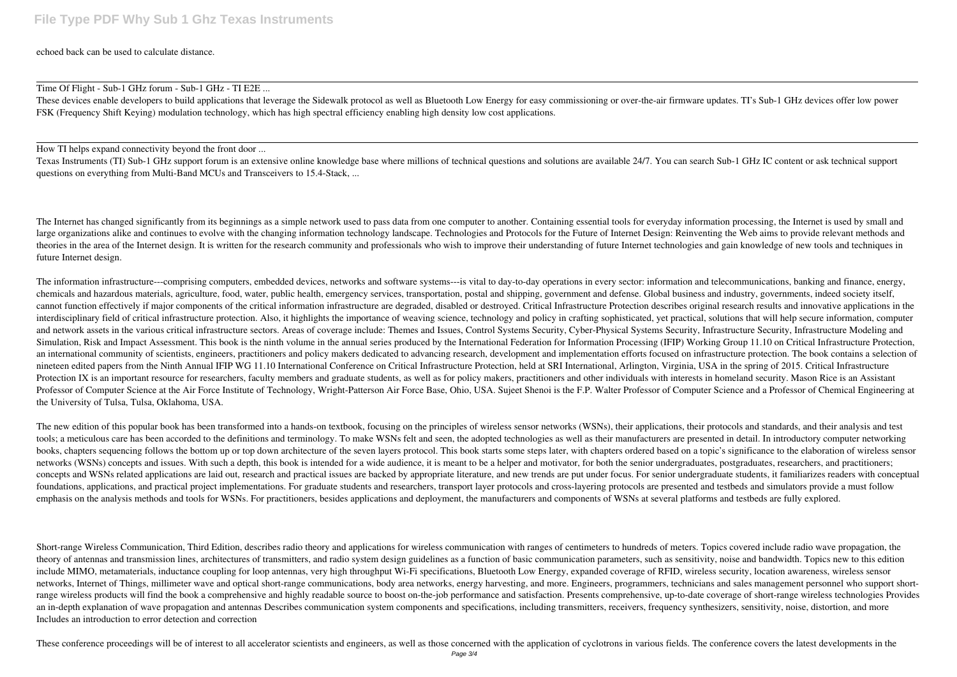echoed back can be used to calculate distance.

Time Of Flight - Sub-1 GHz forum - Sub-1 GHz - TI E2E ...

These devices enable developers to build applications that leverage the Sidewalk protocol as well as Bluetooth Low Energy for easy commissioning or over-the-air firmware updates. TI's Sub-1 GHz devices offer low power FSK (Frequency Shift Keying) modulation technology, which has high spectral efficiency enabling high density low cost applications.

How TI helps expand connectivity beyond the front door ...

Texas Instruments (TI) Sub-1 GHz support forum is an extensive online knowledge base where millions of technical questions and solutions are available 24/7. You can search Sub-1 GHz IC content or ask technical support questions on everything from Multi-Band MCUs and Transceivers to 15.4-Stack, ...

The Internet has changed significantly from its beginnings as a simple network used to pass data from one computer to another. Containing essential tools for everyday information processing, the Internet is used by small a large organizations alike and continues to evolve with the changing information technology landscape. Technologies and Protocols for the Future of Internet Design: Reinventing the Web aims to provide relevant methods and theories in the area of the Internet design. It is written for the research community and professionals who wish to improve their understanding of future Internet technologies and gain knowledge of new tools and techniques future Internet design.

The information infrastructure---comprising computers, embedded devices, networks and software systems---is vital to day-to-day operations in every sector: information and telecommunications, banking and finance, energy, chemicals and hazardous materials, agriculture, food, water, public health, emergency services, transportation, postal and shipping, government and defense. Global business and industry, governments, indeed society itself, cannot function effectively if major components of the critical information infrastructure are degraded, disabled or destroyed. Critical Infrastructure Protection describes original research results and innovative applicat interdisciplinary field of critical infrastructure protection. Also, it highlights the importance of weaving science, technology and policy in crafting sophisticated, yet practical, solutions that will help secure informat and network assets in the various critical infrastructure sectors. Areas of coverage include: Themes and Issues, Control Systems Security, Cyber-Physical Systems Security, Infrastructure Security, Infrastructure Modeling and Simulation, Risk and Impact Assessment. This book is the ninth volume in the annual series produced by the International Federation for Information Processing (IFIP) Working Group 11.10 on Critical Infrastructure Protection, an international community of scientists, engineers, practitioners and policy makers dedicated to advancing research, development and implementation efforts focused on infrastructure protection. The book contains a selecti nineteen edited papers from the Ninth Annual IFIP WG 11.10 International Conference on Critical Infrastructure Protection, held at SRI International, Arlington, Virginia, USA in the spring of 2015. Critical Infrastructure Protection IX is an important resource for researchers, faculty members and graduate students, as well as for policy makers, practitioners and other individuals with interests in homeland security. Mason Rice is an Assista Professor of Computer Science at the Air Force Institute of Technology, Wright-Patterson Air Force Base, Ohio, USA. Sujeet Shenoi is the F.P. Walter Professor of Computer Science and a Professor of Chemical Engineering at the University of Tulsa, Tulsa, Oklahoma, USA.

The new edition of this popular book has been transformed into a hands-on textbook, focusing on the principles of wireless sensor networks (WSNs), their applications, their protocols and standards, and their analysis and t tools; a meticulous care has been accorded to the definitions and terminology. To make WSNs felt and seen, the adopted technologies as well as their manufacturers are presented in detail. In introductory computer networking books, chapters sequencing follows the bottom up or top down architecture of the seven layers protocol. This book starts some steps later, with chapters ordered based on a topic's significance to the elaboration of wireles networks (WSNs) concepts and issues. With such a depth, this book is intended for a wide audience, it is meant to be a helper and motivator, for both the senior undergraduates, postgraduates, researchers, and practitioners concepts and WSNs related applications are laid out, research and practical issues are backed by appropriate literature, and new trends are put under focus. For senior undergraduate students, it familiarizes readers with c foundations, applications, and practical project implementations. For graduate students and researchers, transport layer protocols and cross-layering protocols are presented and testbeds and simulators provide a must follow emphasis on the analysis methods and tools for WSNs. For practitioners, besides applications and deployment, the manufacturers and components of WSNs at several platforms and testbeds are fully explored.

Short-range Wireless Communication, Third Edition, describes radio theory and applications for wireless communication with ranges of centimeters to hundreds of meters. Topics covered include radio wave propagation, the theory of antennas and transmission lines, architectures of transmitters, and radio system design guidelines as a function of basic communication parameters, such as sensitivity, noise and bandwidth. Topics new to this edi include MIMO, metamaterials, inductance coupling for loop antennas, very high throughput Wi-Fi specifications, Bluetooth Low Energy, expanded coverage of RFID, wireless security, location awareness, wireless sensor networks, Internet of Things, millimeter wave and optical short-range communications, body area networks, energy harvesting, and more. Engineers, programmers, technicians and sales management personnel who support shortrange wireless products will find the book a comprehensive and highly readable source to boost on-the-job performance and satisfaction. Presents comprehensive, up-to-date coverage of short-range wireless technologies Provi an in-depth explanation of wave propagation and antennas Describes communication system components and specifications, including transmitters, receivers, frequency synthesizers, sensitivity, noise, distortion, and more Includes an introduction to error detection and correction

These conference proceedings will be of interest to all accelerator scientists and engineers, as well as those concerned with the application of cyclotrons in various fields. The conference covers the latest developments i